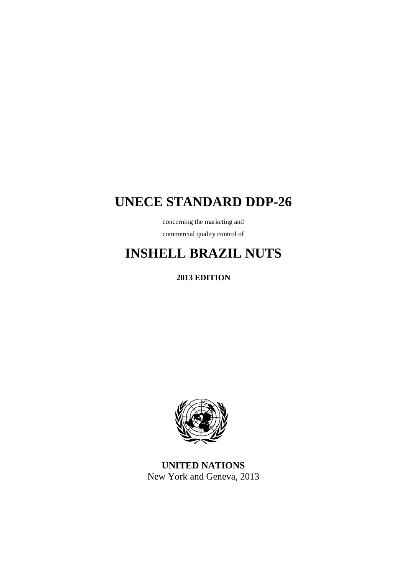# **UNECE STANDARD DDP-26**

concerning the marketing and commercial quality control of

# **INSHELL BRAZIL NUTS**

**2013 EDITION**



**UNITED NATIONS** New York and Geneva, 2013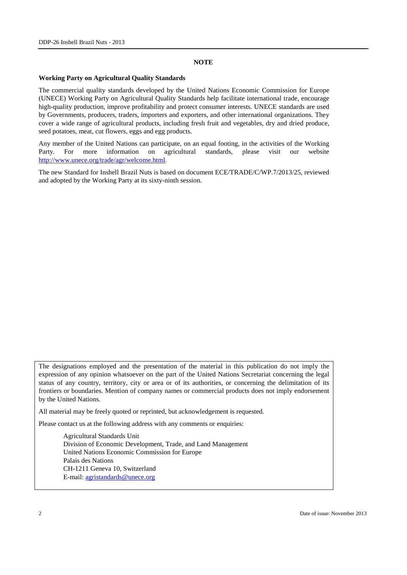#### **NOTE**

#### **Working Party on Agricultural Quality Standards**

The commercial quality standards developed by the United Nations Economic Commission for Europe (UNECE) Working Party on Agricultural Quality Standards help facilitate international trade, encourage high-quality production, improve profitability and protect consumer interests. UNECE standards are used by Governments, producers, traders, importers and exporters, and other international organizations. They cover a wide range of agricultural products, including fresh fruit and vegetables, dry and dried produce, seed potatoes, meat, cut flowers, eggs and egg products.

Any member of the United Nations can participate, on an equal footing, in the activities of the Working Party. For more information on agricultural standards, please visit our website [http://www.unece.org/trade/agr/welcome.html.](http://www.unece.org/trade/agr/welcome.html)

The new Standard for Inshell Brazil Nuts is based on document ECE/TRADE/C/WP.7/2013/25, reviewed and adopted by the Working Party at its sixty-ninth session.

The designations employed and the presentation of the material in this publication do not imply the expression of any opinion whatsoever on the part of the United Nations Secretariat concerning the legal status of any country, territory, city or area or of its authorities, or concerning the delimitation of its frontiers or boundaries. Mention of company names or commercial products does not imply endorsement by the United Nations.

All material may be freely quoted or reprinted, but acknowledgement is requested.

Please contact us at the following address with any comments or enquiries:

Agricultural Standards Unit Division of Economic Development, Trade, and Land Management United Nations Economic Commission for Europe Palais des Nations CH-1211 Geneva 10, Switzerland E-mail: [agristandards@unece.org](mailto:agristandards@unece.org)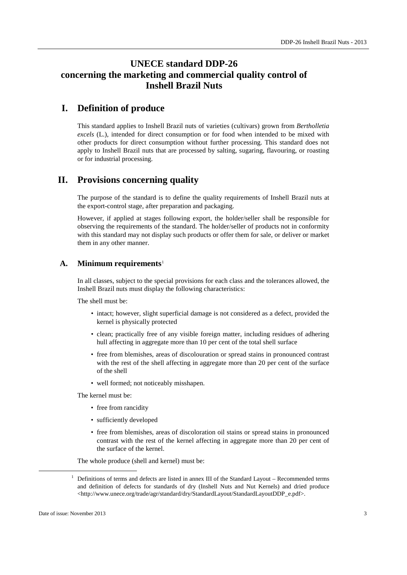## **UNECE standard DDP-26 concerning the marketing and commercial quality control of Inshell Brazil Nuts**

### **I. Definition of produce**

This standard applies to Inshell Brazil nuts of varieties (cultivars) grown from *Bertholletia excels* (L.), intended for direct consumption or for food when intended to be mixed with other products for direct consumption without further processing. This standard does not apply to Inshell Brazil nuts that are processed by salting, sugaring, flavouring, or roasting or for industrial processing.

### **II. Provisions concerning quality**

The purpose of the standard is to define the quality requirements of Inshell Brazil nuts at the export-control stage, after preparation and packaging.

However, if applied at stages following export, the holder/seller shall be responsible for observing the requirements of the standard. The holder/seller of products not in conformity with this standard may not display such products or offer them for sale, or deliver or market them in any other manner.

#### **A. Minimum requirements**[1](#page-2-0)

In all classes, subject to the special provisions for each class and the tolerances allowed, the Inshell Brazil nuts must display the following characteristics:

The shell must be:

- intact; however, slight superficial damage is not considered as a defect, provided the kernel is physically protected
- clean; practically free of any visible foreign matter, including residues of adhering hull affecting in aggregate more than 10 per cent of the total shell surface
- free from blemishes, areas of discolouration or spread stains in pronounced contrast with the rest of the shell affecting in aggregate more than 20 per cent of the surface of the shell
- well formed; not noticeably misshapen.

The kernel must be:

- free from rancidity
- sufficiently developed
- free from blemishes, areas of discoloration oil stains or spread stains in pronounced contrast with the rest of the kernel affecting in aggregate more than 20 per cent of the surface of the kernel.

The whole produce (shell and kernel) must be:

<span id="page-2-0"></span> $1$  Definitions of terms and defects are listed in annex III of the Standard Layout – Recommended terms and definition of defects for standards of dry (Inshell Nuts and Nut Kernels) and dried produce <http://www.unece.org/trade/agr/standard/dry/StandardLayout/StandardLayoutDDP\_e.pdf>.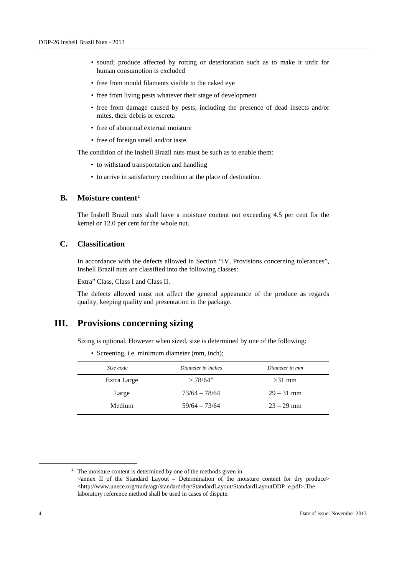- sound; produce affected by rotting or deterioration such as to make it unfit for human consumption is excluded
- free from mould filaments visible to the naked eye
- free from living pests whatever their stage of development
- free from damage caused by pests, including the presence of dead insects and/or mites, their debris or excreta
- free of abnormal external moisture
- free of foreign smell and/or taste.

The condition of the Inshell Brazil nuts must be such as to enable them:

- to withstand transportation and handling
- to arrive in satisfactory condition at the place of destination.

#### **B. Moisture content[2](#page-3-0)**

The Inshell Brazil nuts shall have a moisture content not exceeding 4.5 per cent for the kernel or 12.0 per cent for the whole nut.

#### **C. Classification**

In accordance with the defects allowed in Section "IV, Provisions concerning tolerances", Inshell Brazil nuts are classified into the following classes:

Extra" Class, Class I and Class II.

The defects allowed must not affect the general appearance of the produce as regards quality, keeping quality and presentation in the package.

#### **III. Provisions concerning sizing**

Sizing is optional. However when sized, size is determined by one of the following:

• Screening, i.e. minimum diameter (mm, inch);

| Size code   | Diameter in inches | Diameter in mm |  |
|-------------|--------------------|----------------|--|
| Extra Large | >78/64"            | $>31$ mm       |  |
| Large       | $73/64 - 78/64$    | $29 - 31$ mm   |  |
| Medium      | $59/64 - 73/64$    | $23 - 29$ mm   |  |

<span id="page-3-0"></span> $2\degree$  The moisture content is determined by one of the methods given in  $\alpha$  <annex II of the Standard Layout – Determination of the moisture content for dry produce <http://www.unece.org/trade/agr/standard/dry/StandardLayout/StandardLayoutDDP\_e.pdf>.The laboratory reference method shall be used in cases of dispute.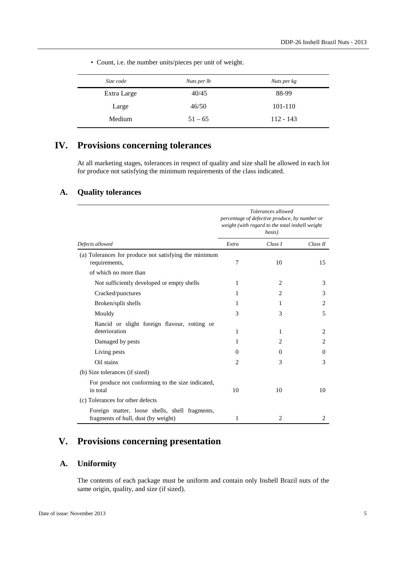| Size code   | Nuts per lb | Nuts per kg |
|-------------|-------------|-------------|
| Extra Large | 40/45       | 88-99       |
| Large       | 46/50       | 101-110     |
| Medium      | $51 - 65$   | $112 - 143$ |

• Count, i.e. the number units/pieces per unit of weight.

## **IV. Provisions concerning tolerances**

At all marketing stages, tolerances in respect of quality and size shall be allowed in each lot for produce not satisfying the minimum requirements of the class indicated.

#### **A. Quality tolerances**

|                                                                                       | Tolerances allowed<br>percentage of defective produce, by number or<br>weight (with regard to the total inshell weight<br>basis) |                |                |
|---------------------------------------------------------------------------------------|----------------------------------------------------------------------------------------------------------------------------------|----------------|----------------|
| Defects allowed                                                                       | Extra                                                                                                                            | Class I        | Class II       |
| (a) Tolerances for produce not satisfying the minimum<br>requirements,                | 7                                                                                                                                | 10             | 15             |
| of which no more than                                                                 |                                                                                                                                  |                |                |
| Not sufficiently developed or empty shells                                            | 1                                                                                                                                | 2              | 3              |
| Cracked/punctures                                                                     | 1                                                                                                                                | $\overline{c}$ | 3              |
| Broken/split shells                                                                   | 1                                                                                                                                | 1              | 2              |
| Mouldy                                                                                | 3                                                                                                                                | 3              | 5              |
| Rancid or slight foreign flavour, rotting or<br>deterioration                         | 1                                                                                                                                | 1              | $\overline{c}$ |
| Damaged by pests                                                                      | 1                                                                                                                                | $\overline{c}$ | 2              |
| Living pests                                                                          | $\Omega$                                                                                                                         | $\Omega$       | $\Omega$       |
| Oil stains                                                                            | $\mathcal{D}_{\mathcal{L}}$                                                                                                      | 3              | 3              |
| (b) Size tolerances (if sized)                                                        |                                                                                                                                  |                |                |
| For produce not conforming to the size indicated,<br>in total                         | 10                                                                                                                               | 10             | 10             |
| (c) Tolerances for other defects                                                      |                                                                                                                                  |                |                |
| Foreign matter, loose shells, shell fragments,<br>fragments of hull, dust (by weight) | 1                                                                                                                                | 2              | 2              |

## **V. Provisions concerning presentation**

#### **A. Uniformity**

The contents of each package must be uniform and contain only Inshell Brazil nuts of the same origin, quality, and size (if sized).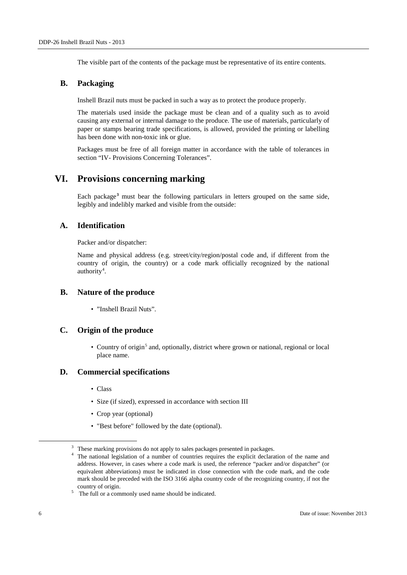The visible part of the contents of the package must be representative of its entire contents.

#### **B. Packaging**

Inshell Brazil nuts must be packed in such a way as to protect the produce properly.

The materials used inside the package must be clean and of a quality such as to avoid causing any external or internal damage to the produce. The use of materials, particularly of paper or stamps bearing trade specifications, is allowed, provided the printing or labelling has been done with non-toxic ink or glue.

Packages must be free of all foreign matter in accordance with the table of tolerances in section "IV- Provisions Concerning Tolerances".

## **VI. Provisions concerning marking**

Each package**[3](#page-5-0)** must bear the following particulars in letters grouped on the same side, legibly and indelibly marked and visible from the outside:

#### **A. Identification**

Packer and/or dispatcher:

Name and physical address (e.g. street/city/region/postal code and, if different from the country of origin, the country) or a code mark officially recognized by the national authority<sup>[4](#page-5-1)</sup>.

#### **B. Nature of the produce**

• "Inshell Brazil Nuts".

#### **C. Origin of the produce**

• Country of origin<sup>[5](#page-5-2)</sup> and, optionally, district where grown or national, regional or local place name.

#### **D. Commercial specifications**

- Class
- Size (if sized), expressed in accordance with section III
- Crop year (optional)
- "Best before" followed by the date (optional).

<span id="page-5-0"></span><sup>&</sup>lt;sup>3</sup> These marking provisions do not apply to sales packages presented in packages.

<span id="page-5-1"></span>The national legislation of a number of countries requires the explicit declaration of the name and address. However, in cases where a code mark is used, the reference "packer and/or dispatcher" (or equivalent abbreviations) must be indicated in close connection with the code mark, and the code mark should be preceded with the ISO 3166 alpha country code of the recognizing country, if not the country of origin.<br> $5$  The full or a commonly used name should be indicated.

<span id="page-5-2"></span>